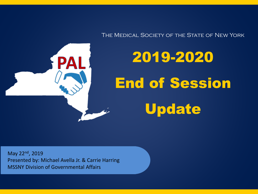The Medical Society of the State of New York

2019-2020 End of Session Update

May 22nd, 2019 Presented by: Michael Avella Jr. & Carrie Harring MSSNY Division of Governmental Affairs

PAI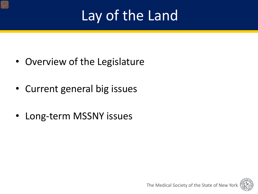# Lay of the Land

- Overview of the Legislature
- Current general big issues
- Long-term MSSNY issues

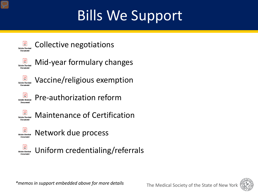# Bills We Support



Collective negotiations



Mid-year formulary changes



Vaccine/religious exemption



Pre-authorization reform



Maintenance of Certification



Network due process



Uniform credentialing/referrals



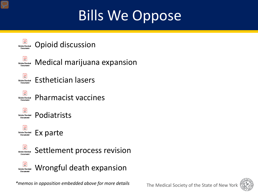# Bills We Oppose



*\*memos in opposition embedded above for more details*

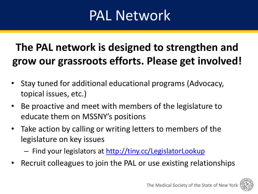## PAL Network

### **The PAL network is designed to strengthen and grow our grassroots efforts. Please get involved!**

- Stay tuned for additional educational programs (Advocacy, topical issues, etc.)
- Be proactive and meet with members of the legislature to educate them on MSSNY's positions
- Take action by calling or writing letters to members of the legislature on key issues
	- Find your legislators at <http://tiny.cc/LegislatorLookup>
- Recruit colleagues to join the PAL or use existing relationships